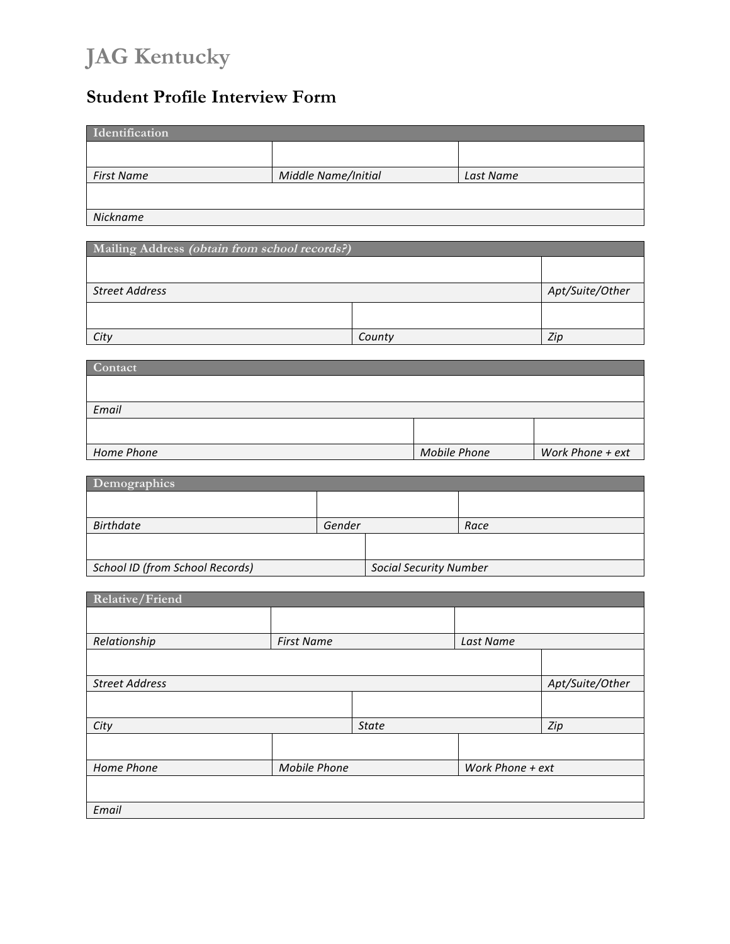# **JAG Kentucky**

# **Student Profile Interview Form**

| Identification    |                     |           |  |  |
|-------------------|---------------------|-----------|--|--|
|                   |                     |           |  |  |
| <b>First Name</b> | Middle Name/Initial | Last Name |  |  |
|                   |                     |           |  |  |
| Nickname          |                     |           |  |  |

| Mailing Address (obtain from school records?) |        |                 |  |
|-----------------------------------------------|--------|-----------------|--|
|                                               |        |                 |  |
| <b>Street Address</b>                         |        | Apt/Suite/Other |  |
|                                               |        |                 |  |
| City                                          | County | Zip             |  |

| Contact    |                     |                  |
|------------|---------------------|------------------|
|            |                     |                  |
|            |                     |                  |
| Email      |                     |                  |
|            |                     |                  |
|            |                     |                  |
| Home Phone | <b>Mobile Phone</b> | Work Phone + ext |

| Demographics                    |        |                               |      |  |
|---------------------------------|--------|-------------------------------|------|--|
|                                 |        |                               |      |  |
| <b>Birthdate</b>                | Gender |                               | Race |  |
|                                 |        |                               |      |  |
| School ID (from School Records) |        | <b>Social Security Number</b> |      |  |

| Relative/Friend       |                     |              |                  |                 |
|-----------------------|---------------------|--------------|------------------|-----------------|
|                       |                     |              |                  |                 |
| Relationship          | <b>First Name</b>   |              | Last Name        |                 |
|                       |                     |              |                  |                 |
| <b>Street Address</b> |                     |              |                  | Apt/Suite/Other |
|                       |                     |              |                  |                 |
| City                  |                     | <b>State</b> |                  | Zip             |
|                       |                     |              |                  |                 |
| Home Phone            | <b>Mobile Phone</b> |              | Work Phone + ext |                 |
|                       |                     |              |                  |                 |
| Email                 |                     |              |                  |                 |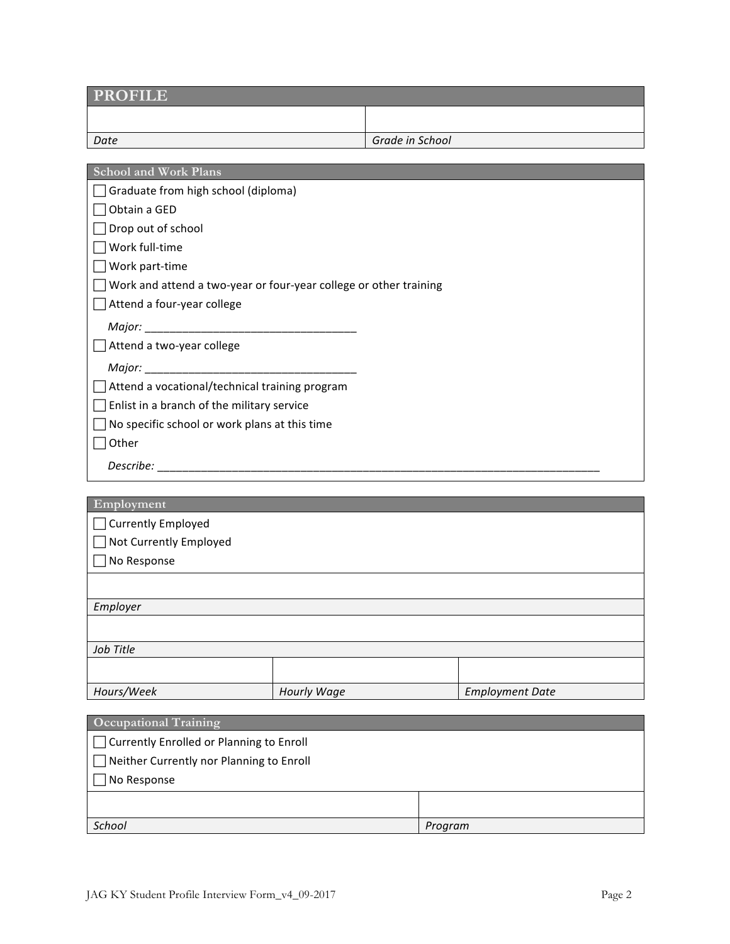| <b>PROFILE</b>                                                      |             |                 |  |                        |
|---------------------------------------------------------------------|-------------|-----------------|--|------------------------|
|                                                                     |             |                 |  |                        |
| Date                                                                |             | Grade in School |  |                        |
|                                                                     |             |                 |  |                        |
| <b>School and Work Plans</b><br>Graduate from high school (diploma) |             |                 |  |                        |
| Obtain a GED                                                        |             |                 |  |                        |
| Drop out of school                                                  |             |                 |  |                        |
| Work full-time                                                      |             |                 |  |                        |
| Work part-time                                                      |             |                 |  |                        |
| Work and attend a two-year or four-year college or other training   |             |                 |  |                        |
| Attend a four-year college                                          |             |                 |  |                        |
|                                                                     |             |                 |  |                        |
| Attend a two-year college                                           |             |                 |  |                        |
|                                                                     |             |                 |  |                        |
| Attend a vocational/technical training program                      |             |                 |  |                        |
| Enlist in a branch of the military service                          |             |                 |  |                        |
| No specific school or work plans at this time                       |             |                 |  |                        |
| Other                                                               |             |                 |  |                        |
|                                                                     |             |                 |  |                        |
|                                                                     |             |                 |  |                        |
| Employment                                                          |             |                 |  |                        |
| Currently Employed                                                  |             |                 |  |                        |
| Not Currently Employed                                              |             |                 |  |                        |
| No Response                                                         |             |                 |  |                        |
|                                                                     |             |                 |  |                        |
| Employer                                                            |             |                 |  |                        |
|                                                                     |             |                 |  |                        |
| Job Title                                                           |             |                 |  |                        |
|                                                                     |             |                 |  |                        |
| Hours/Week                                                          | Hourly Wage |                 |  | <b>Employment Date</b> |
|                                                                     |             |                 |  |                        |
| <b>Occupational Training</b>                                        |             |                 |  |                        |
| Currently Enrolled or Planning to Enroll                            |             |                 |  |                        |
| Neither Currently nor Planning to Enroll                            |             |                 |  |                        |
| No Response                                                         |             |                 |  |                        |
|                                                                     |             |                 |  |                        |

*School Program*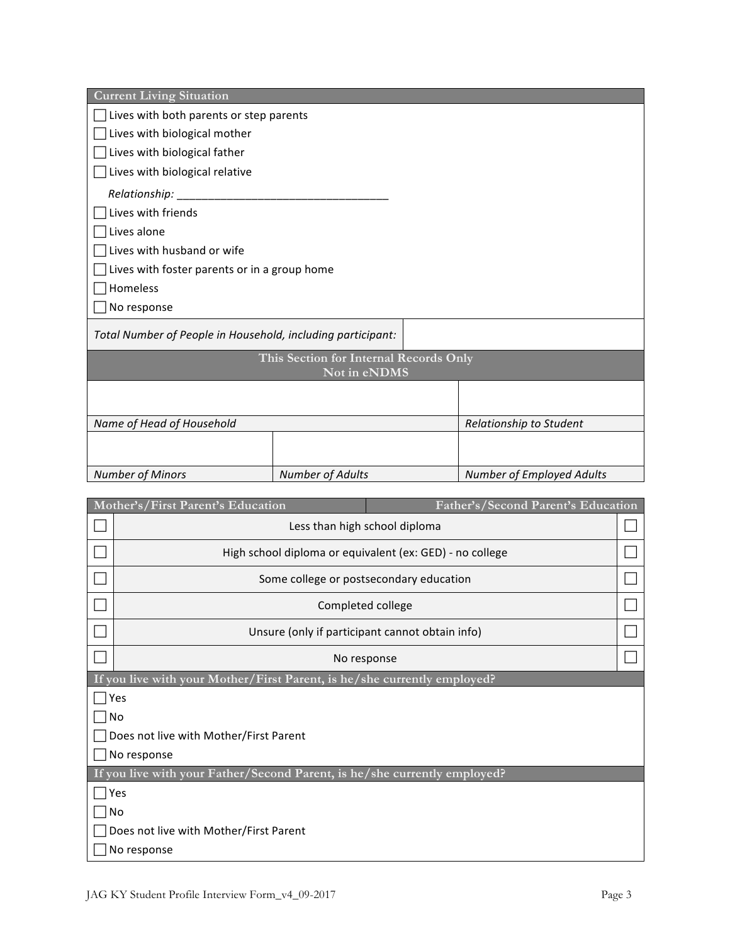| <b>Current Living Situation</b>                                         |                                        |  |                                  |  |
|-------------------------------------------------------------------------|----------------------------------------|--|----------------------------------|--|
| Lives with both parents or step parents                                 |                                        |  |                                  |  |
| Lives with biological mother                                            |                                        |  |                                  |  |
| Lives with biological father                                            |                                        |  |                                  |  |
| Lives with biological relative                                          |                                        |  |                                  |  |
| Relationship: _                                                         |                                        |  |                                  |  |
| Lives with friends                                                      |                                        |  |                                  |  |
| Lives alone                                                             |                                        |  |                                  |  |
| Lives with husband or wife                                              |                                        |  |                                  |  |
| Lives with foster parents or in a group home                            |                                        |  |                                  |  |
| Homeless                                                                |                                        |  |                                  |  |
| No response                                                             |                                        |  |                                  |  |
| Total Number of People in Household, including participant:             |                                        |  |                                  |  |
|                                                                         | This Section for Internal Records Only |  |                                  |  |
|                                                                         | Not in eNDMS                           |  |                                  |  |
|                                                                         |                                        |  |                                  |  |
|                                                                         |                                        |  |                                  |  |
| Name of Head of Household                                               |                                        |  | Relationship to Student          |  |
|                                                                         |                                        |  |                                  |  |
| <b>Number of Minors</b>                                                 | <b>Number of Adults</b>                |  | <b>Number of Employed Adults</b> |  |
|                                                                         |                                        |  |                                  |  |
| Mother's/First Parent's Education<br>Father's/Second Parent's Education |                                        |  |                                  |  |
| Less than high school diploma                                           |                                        |  |                                  |  |
| High school diploma or equivalent (ex: GED) - no college                |                                        |  |                                  |  |
| Some college or postsecondary education                                 |                                        |  |                                  |  |
| Completed college                                                       |                                        |  |                                  |  |
| Unsure (only if participant cannot obtain info)                         |                                        |  |                                  |  |
|                                                                         | No response                            |  |                                  |  |
|                                                                         |                                        |  |                                  |  |

**If you live with your Mother/First Parent, is he/she currently employed?**

 $\Box$  Yes

 $\Box$  No

 $\Box$  Does not live with Mother/First Parent

 $\Box$  No response

**If you live with your Father/Second Parent, is he/she currently employed?**

 $\Box$  Yes  $\Box$  No

 $\Box$  Does not live with Mother/First Parent

 $\Box$  No response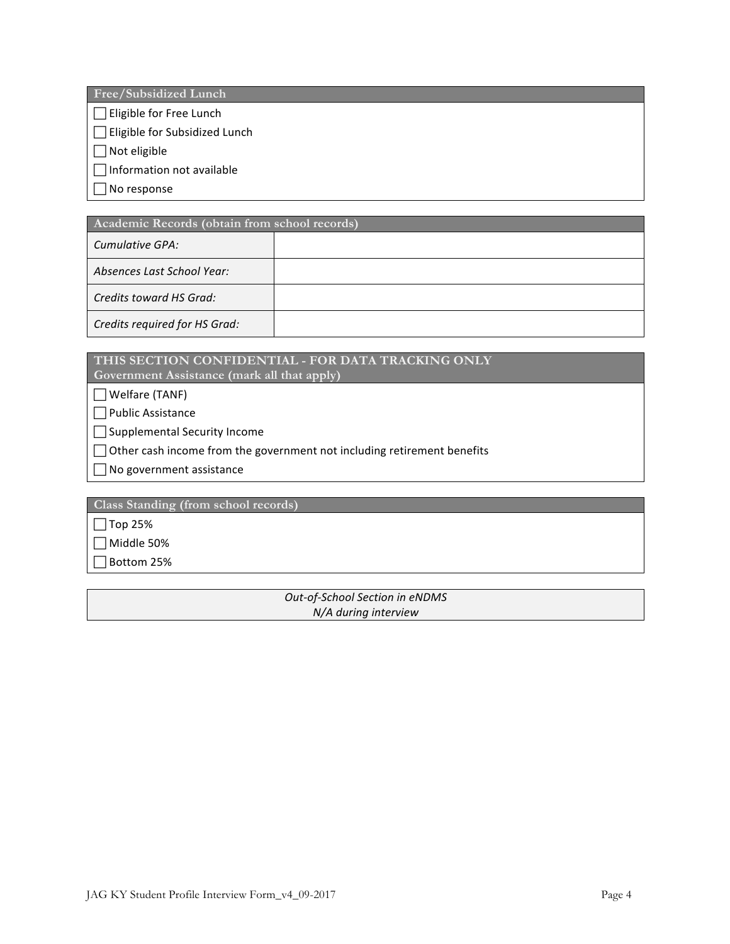**Free/Subsidized Lunch**

 $\Box$  Eligible for Free Lunch

 $\Box$  Eligible for Subsidized Lunch

 $\Box$  Not eligible

 $\Box$  Information not available

 $\Box$  No response

| Academic Records (obtain from school records) |  |  |  |
|-----------------------------------------------|--|--|--|
| Cumulative GPA:                               |  |  |  |
| Absences Last School Year:                    |  |  |  |
| Credits toward HS Grad:                       |  |  |  |
| Credits required for HS Grad:                 |  |  |  |

## **THIS SECTION CONFIDENTIAL - FOR DATA TRACKING ONLY**

**Government Assistance (mark all that apply)**

 $\Box$  Welfare (TANF)

 $\Box$  Public Assistance

 $\Box$  Supplemental Security Income

 $\Box$  Other cash income from the government not including retirement benefits

 $\Box$  No government assistance

**Class Standing (from school records)**

 $\Box$  Top 25%

 $\Box$  Middle 50%

 $\Box$  Bottom 25%

*Out-of-School Section in eNDMS N/A during interview*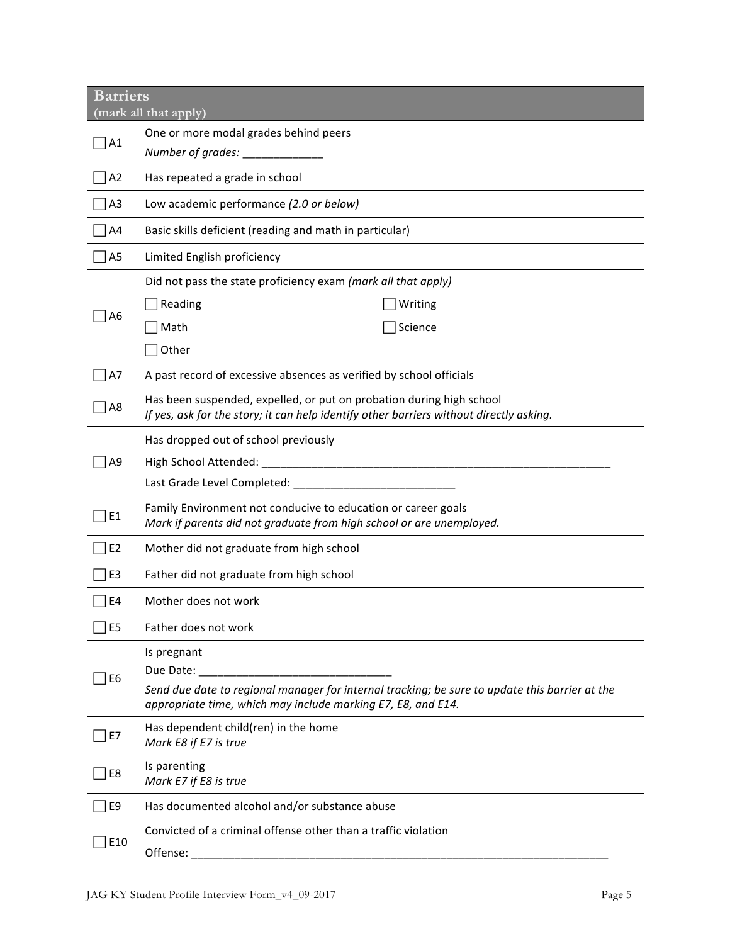| <b>Barriers</b> | (mark all that apply)                                                                                                                                           |
|-----------------|-----------------------------------------------------------------------------------------------------------------------------------------------------------------|
|                 | One or more modal grades behind peers                                                                                                                           |
| A1              | Number of grades: __________                                                                                                                                    |
| A2              | Has repeated a grade in school                                                                                                                                  |
| A3              | Low academic performance (2.0 or below)                                                                                                                         |
| A4              | Basic skills deficient (reading and math in particular)                                                                                                         |
| A5              | Limited English proficiency                                                                                                                                     |
|                 | Did not pass the state proficiency exam (mark all that apply)                                                                                                   |
|                 | Reading<br>Writing                                                                                                                                              |
| А6              | Math<br>Science                                                                                                                                                 |
|                 | Other                                                                                                                                                           |
| A7              | A past record of excessive absences as verified by school officials                                                                                             |
| A8              | Has been suspended, expelled, or put on probation during high school<br>If yes, ask for the story; it can help identify other barriers without directly asking. |
|                 | Has dropped out of school previously                                                                                                                            |
| A9              | High School Attended: _                                                                                                                                         |
|                 | Last Grade Level Completed: _______                                                                                                                             |
| E1              | Family Environment not conducive to education or career goals<br>Mark if parents did not graduate from high school or are unemployed.                           |
| E <sub>2</sub>  | Mother did not graduate from high school                                                                                                                        |
| E <sub>3</sub>  | Father did not graduate from high school                                                                                                                        |
| E <sub>4</sub>  | Mother does not work                                                                                                                                            |
| E <sub>5</sub>  | Father does not work                                                                                                                                            |
| E6              | Is pregnant<br>Due Date:                                                                                                                                        |
|                 | Send due date to regional manager for internal tracking; be sure to update this barrier at the<br>appropriate time, which may include marking E7, E8, and E14.  |
| E7              | Has dependent child(ren) in the home<br>Mark E8 if E7 is true                                                                                                   |
| E8              | Is parenting<br>Mark E7 if E8 is true                                                                                                                           |
| E9              | Has documented alcohol and/or substance abuse                                                                                                                   |
| E10             | Convicted of a criminal offense other than a traffic violation<br>Offense:                                                                                      |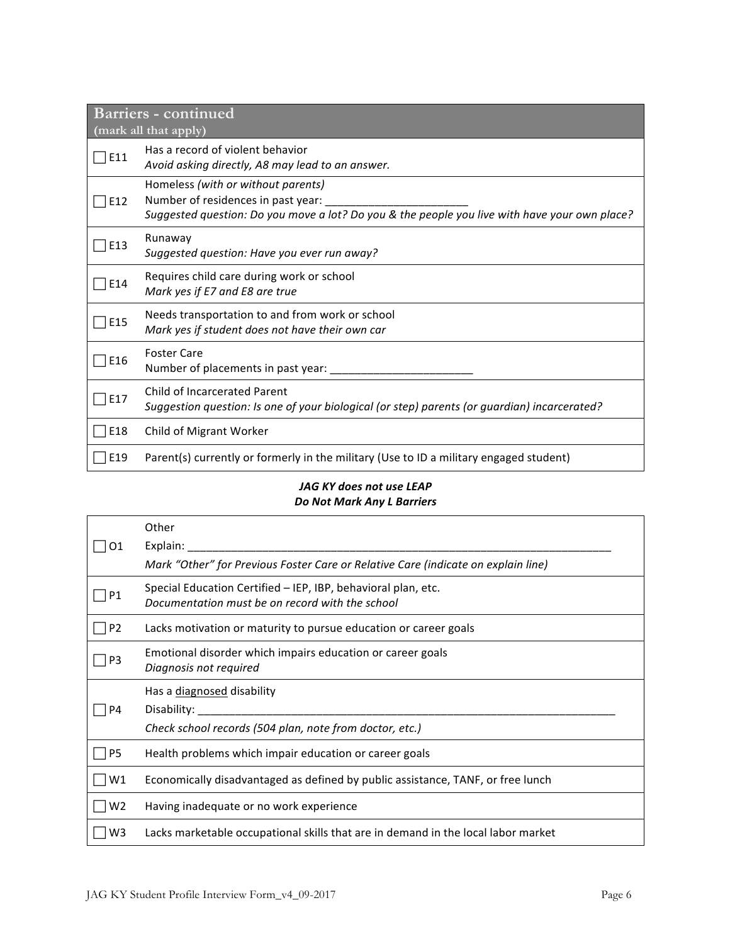| Barriers - continued<br>(mark all that apply) |                                                                                                                                                                                          |  |
|-----------------------------------------------|------------------------------------------------------------------------------------------------------------------------------------------------------------------------------------------|--|
| E11                                           | Has a record of violent behavior<br>Avoid asking directly, A8 may lead to an answer.                                                                                                     |  |
| E12                                           | Homeless (with or without parents)<br>Number of residences in past year: ______________<br>Suggested question: Do you move a lot? Do you & the people you live with have your own place? |  |
| E13                                           | Runaway<br>Suggested question: Have you ever run away?                                                                                                                                   |  |
| E14                                           | Requires child care during work or school<br>Mark yes if E7 and E8 are true                                                                                                              |  |
| E15                                           | Needs transportation to and from work or school<br>Mark yes if student does not have their own car                                                                                       |  |
| E16                                           | <b>Foster Care</b><br>Number of placements in past year: __________                                                                                                                      |  |
| E17                                           | <b>Child of Incarcerated Parent</b><br>Suggestion question: Is one of your biological (or step) parents (or guardian) incarcerated?                                                      |  |
| E18                                           | Child of Migrant Worker                                                                                                                                                                  |  |
| E19                                           | Parent(s) currently or formerly in the military (Use to ID a military engaged student)                                                                                                   |  |

#### JAG KY does not use LEAP *Do Not Mark Any L Barriers*

|                | Other                                                                                                            |
|----------------|------------------------------------------------------------------------------------------------------------------|
| O1             | Explain:                                                                                                         |
|                | Mark "Other" for Previous Foster Care or Relative Care (indicate on explain line)                                |
| Ρ1             | Special Education Certified – IEP, IBP, behavioral plan, etc.<br>Documentation must be on record with the school |
| P2             | Lacks motivation or maturity to pursue education or career goals                                                 |
| P3             | Emotional disorder which impairs education or career goals<br>Diagnosis not required                             |
|                | Has a diagnosed disability                                                                                       |
| Ρ4             | Disability:                                                                                                      |
|                |                                                                                                                  |
|                | Check school records (504 plan, note from doctor, etc.)                                                          |
| P5             | Health problems which impair education or career goals                                                           |
| W1             | Economically disadvantaged as defined by public assistance, TANF, or free lunch                                  |
| W <sub>2</sub> | Having inadequate or no work experience                                                                          |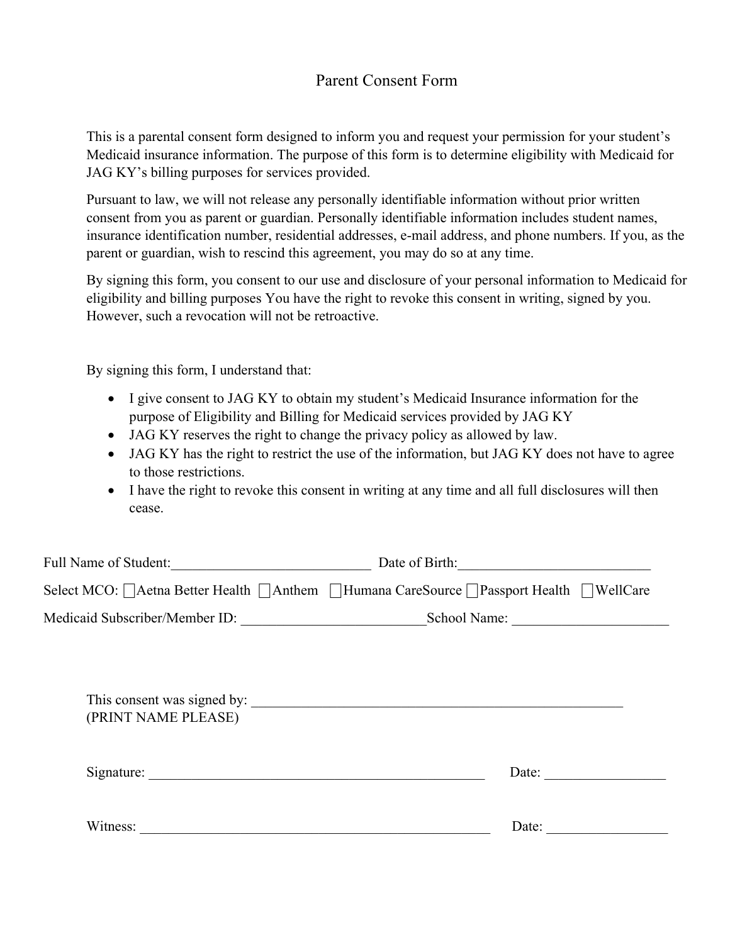### Parent Consent Form

This is a parental consent form designed to inform you and request your permission for your student's Medicaid insurance information. The purpose of this form is to determine eligibility with Medicaid for JAG KY's billing purposes for services provided.

Pursuant to law, we will not release any personally identifiable information without prior written consent from you as parent or guardian. Personally identifiable information includes student names, insurance identification number, residential addresses, e-mail address, and phone numbers. If you, as the parent or guardian, wish to rescind this agreement, you may do so at any time.

By signing this form, you consent to our use and disclosure of your personal information to Medicaid for eligibility and billing purposes You have the right to revoke this consent in writing, signed by you. However, such a revocation will not be retroactive.

By signing this form, I understand that:

- I give consent to JAG KY to obtain my student's Medicaid Insurance information for the purpose of Eligibility and Billing for Medicaid services provided by JAG KY
- JAG KY reserves the right to change the privacy policy as allowed by law.
- JAG KY has the right to restrict the use of the information, but JAG KY does not have to agree to those restrictions.
- I have the right to revoke this consent in writing at any time and all full disclosures will then cease.

| Full Name of Student:                                                                                                             | Date of Birth:                                                                              |
|-----------------------------------------------------------------------------------------------------------------------------------|---------------------------------------------------------------------------------------------|
|                                                                                                                                   | Select MCO:   Aetna Better Health   Anthem   Humana CareSource   Passport Health   WellCare |
|                                                                                                                                   | School Name:                                                                                |
|                                                                                                                                   |                                                                                             |
| (PRINT NAME PLEASE)                                                                                                               |                                                                                             |
| Signature:                                                                                                                        | Date:                                                                                       |
| Witness:<br><u> 1989 - Johann Barbara, martin amerikan basal dan berasal dalam basal dalam basal dalam basal dalam basal dala</u> | Date:                                                                                       |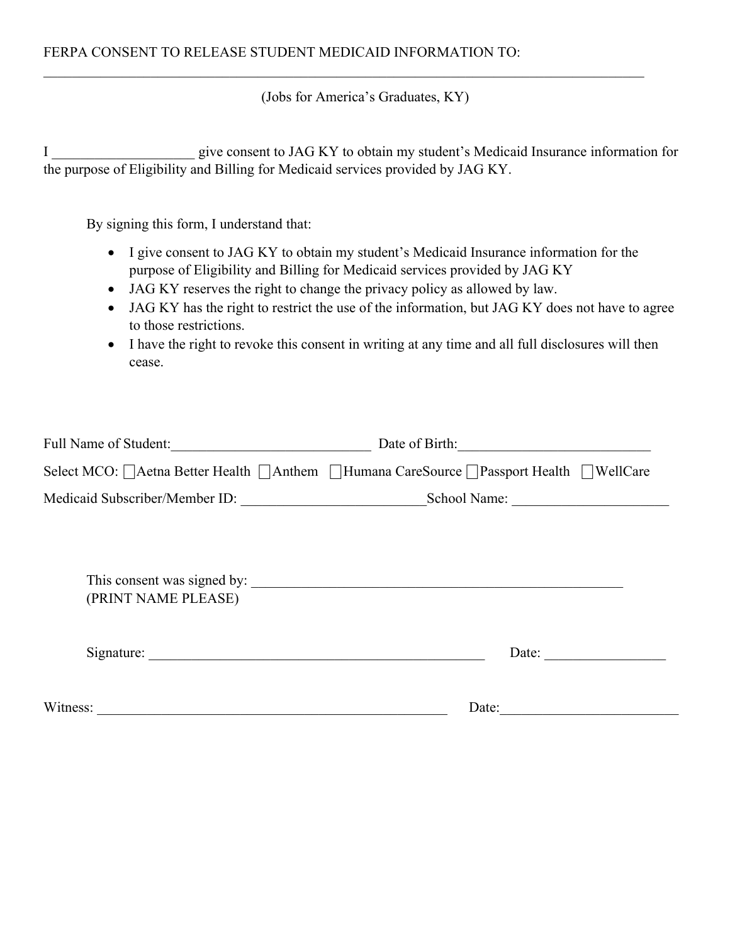(Jobs for America's Graduates, KY)

I give consent to JAG KY to obtain my student's Medicaid Insurance information for the purpose of Eligibility and Billing for Medicaid services provided by JAG KY.

By signing this form, I understand that:

- I give consent to JAG KY to obtain my student's Medicaid Insurance information for the purpose of Eligibility and Billing for Medicaid services provided by JAG KY
- JAG KY reserves the right to change the privacy policy as allowed by law.
- JAG KY has the right to restrict the use of the information, but JAG KY does not have to agree to those restrictions.
- I have the right to revoke this consent in writing at any time and all full disclosures will then cease.

| Full Name of Student:          | Date of Birth:                                                                              |
|--------------------------------|---------------------------------------------------------------------------------------------|
|                                | Select MCO:   Aetna Better Health   Anthem   Humana CareSource   Passport Health   WellCare |
| Medicaid Subscriber/Member ID: | School Name:                                                                                |
|                                |                                                                                             |
| (PRINT NAME PLEASE)            |                                                                                             |
|                                | Date:                                                                                       |
| Witness:                       | Date:                                                                                       |